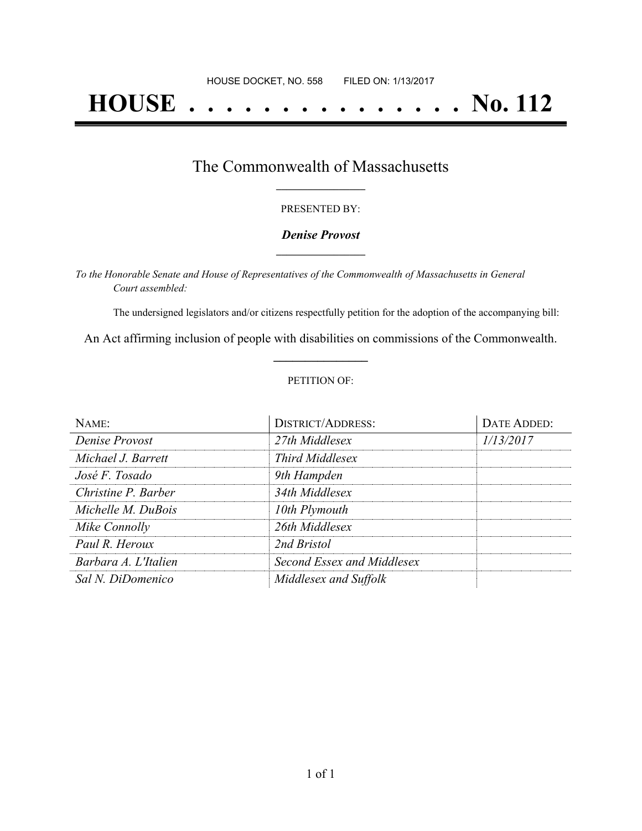# **HOUSE . . . . . . . . . . . . . . . No. 112**

## The Commonwealth of Massachusetts **\_\_\_\_\_\_\_\_\_\_\_\_\_\_\_\_\_**

#### PRESENTED BY:

#### *Denise Provost* **\_\_\_\_\_\_\_\_\_\_\_\_\_\_\_\_\_**

*To the Honorable Senate and House of Representatives of the Commonwealth of Massachusetts in General Court assembled:*

The undersigned legislators and/or citizens respectfully petition for the adoption of the accompanying bill:

An Act affirming inclusion of people with disabilities on commissions of the Commonwealth. **\_\_\_\_\_\_\_\_\_\_\_\_\_\_\_**

#### PETITION OF:

| $N$ $AME:$           | <b>DISTRICT/ADDRESS:</b>   | DATE ADDED: |
|----------------------|----------------------------|-------------|
| Denise Provost       | 27th Middlesex             | 1/13/2017   |
| Michael J. Barrett   | Third Middlesex            |             |
| José F. Tosado       | 9th Hampden                |             |
| Christine P. Barber  | 34th Middlesex             |             |
| Michelle M. DuBois   | 10th Plymouth              |             |
| Mike Connolly        | 26th Middlesex             |             |
| Paul R. Heroux       | 2nd Bristol                |             |
| Barbara A. L'Italien | Second Essex and Middlesex |             |
| Sal N. DiDomenico    | Middlesex and Suffolk      |             |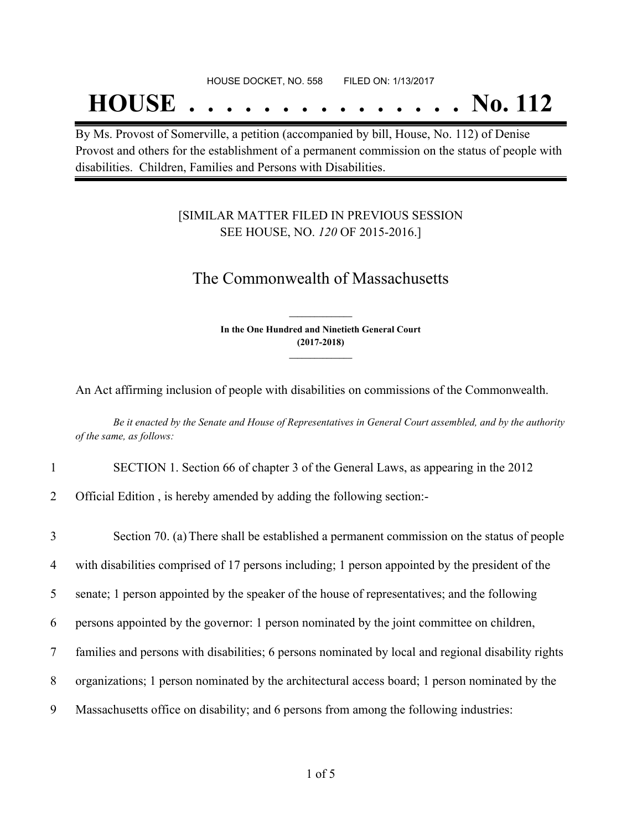## **HOUSE . . . . . . . . . . . . . . . No. 112**

By Ms. Provost of Somerville, a petition (accompanied by bill, House, No. 112) of Denise Provost and others for the establishment of a permanent commission on the status of people with disabilities. Children, Families and Persons with Disabilities.

### [SIMILAR MATTER FILED IN PREVIOUS SESSION SEE HOUSE, NO. *120* OF 2015-2016.]

## The Commonwealth of Massachusetts

**In the One Hundred and Ninetieth General Court (2017-2018) \_\_\_\_\_\_\_\_\_\_\_\_\_\_\_**

**\_\_\_\_\_\_\_\_\_\_\_\_\_\_\_**

An Act affirming inclusion of people with disabilities on commissions of the Commonwealth.

Be it enacted by the Senate and House of Representatives in General Court assembled, and by the authority *of the same, as follows:*

- 1 SECTION 1. Section 66 of chapter 3 of the General Laws, as appearing in the 2012
- 2 Official Edition , is hereby amended by adding the following section:-

| 3              | Section 70. (a) There shall be established a permanent commission on the status of people           |
|----------------|-----------------------------------------------------------------------------------------------------|
| $\overline{4}$ | with disabilities comprised of 17 persons including; 1 person appointed by the president of the     |
| 5              | senate; 1 person appointed by the speaker of the house of representatives; and the following        |
| 6              | persons appointed by the governor: 1 person nominated by the joint committee on children,           |
| 7              | families and persons with disabilities; 6 persons nominated by local and regional disability rights |
| 8              | organizations; 1 person nominated by the architectural access board; 1 person nominated by the      |
| 9              | Massachusetts office on disability; and 6 persons from among the following industries:              |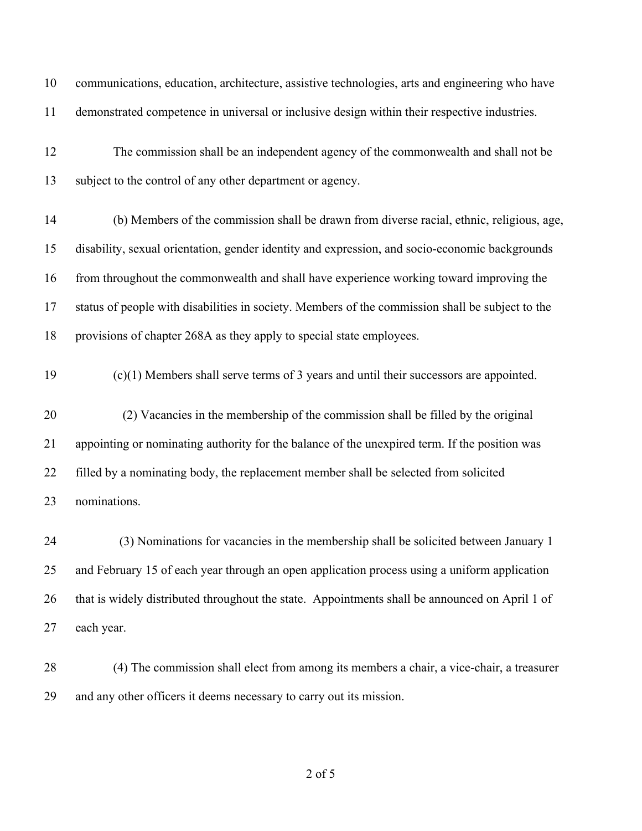| 10 | communications, education, architecture, assistive technologies, arts and engineering who have   |
|----|--------------------------------------------------------------------------------------------------|
| 11 | demonstrated competence in universal or inclusive design within their respective industries.     |
| 12 | The commission shall be an independent agency of the commonwealth and shall not be               |
| 13 | subject to the control of any other department or agency.                                        |
| 14 | (b) Members of the commission shall be drawn from diverse racial, ethnic, religious, age,        |
| 15 | disability, sexual orientation, gender identity and expression, and socio-economic backgrounds   |
| 16 | from throughout the commonwealth and shall have experience working toward improving the          |
| 17 | status of people with disabilities in society. Members of the commission shall be subject to the |
| 18 | provisions of chapter 268A as they apply to special state employees.                             |
| 19 | $(c)(1)$ Members shall serve terms of 3 years and until their successors are appointed.          |
| 20 | (2) Vacancies in the membership of the commission shall be filled by the original                |
| 21 | appointing or nominating authority for the balance of the unexpired term. If the position was    |
| 22 | filled by a nominating body, the replacement member shall be selected from solicited             |
| 23 | nominations.                                                                                     |
| 24 | (3) Nominations for vacancies in the membership shall be solicited between January 1             |
| 25 | and February 15 of each year through an open application process using a uniform application     |
| 26 | that is widely distributed throughout the state. Appointments shall be announced on April 1 of   |
| 27 | each year.                                                                                       |
| 28 | (4) The commission shall elect from among its members a chair, a vice-chair, a treasurer         |

and any other officers it deems necessary to carry out its mission.

of 5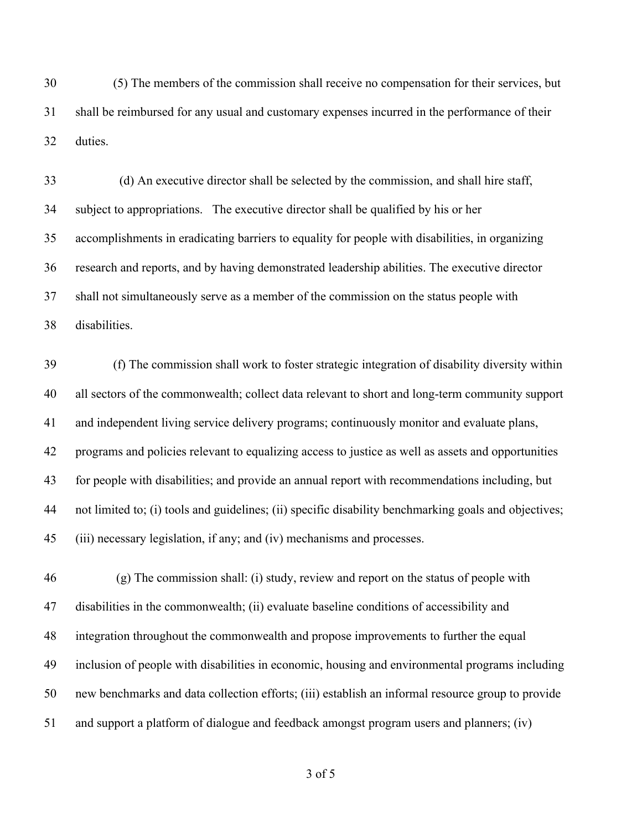(5) The members of the commission shall receive no compensation for their services, but shall be reimbursed for any usual and customary expenses incurred in the performance of their duties.

33 (d) An executive director shall be selected by the commission, and shall hire staff, subject to appropriations. The executive director shall be qualified by his or her accomplishments in eradicating barriers to equality for people with disabilities, in organizing research and reports, and by having demonstrated leadership abilities. The executive director shall not simultaneously serve as a member of the commission on the status people with disabilities.

 (f) The commission shall work to foster strategic integration of disability diversity within all sectors of the commonwealth; collect data relevant to short and long-term community support and independent living service delivery programs; continuously monitor and evaluate plans, programs and policies relevant to equalizing access to justice as well as assets and opportunities for people with disabilities; and provide an annual report with recommendations including, but not limited to; (i) tools and guidelines; (ii) specific disability benchmarking goals and objectives; (iii) necessary legislation, if any; and (iv) mechanisms and processes.

 (g) The commission shall: (i) study, review and report on the status of people with disabilities in the commonwealth; (ii) evaluate baseline conditions of accessibility and integration throughout the commonwealth and propose improvements to further the equal inclusion of people with disabilities in economic, housing and environmental programs including new benchmarks and data collection efforts; (iii) establish an informal resource group to provide and support a platform of dialogue and feedback amongst program users and planners; (iv)

of 5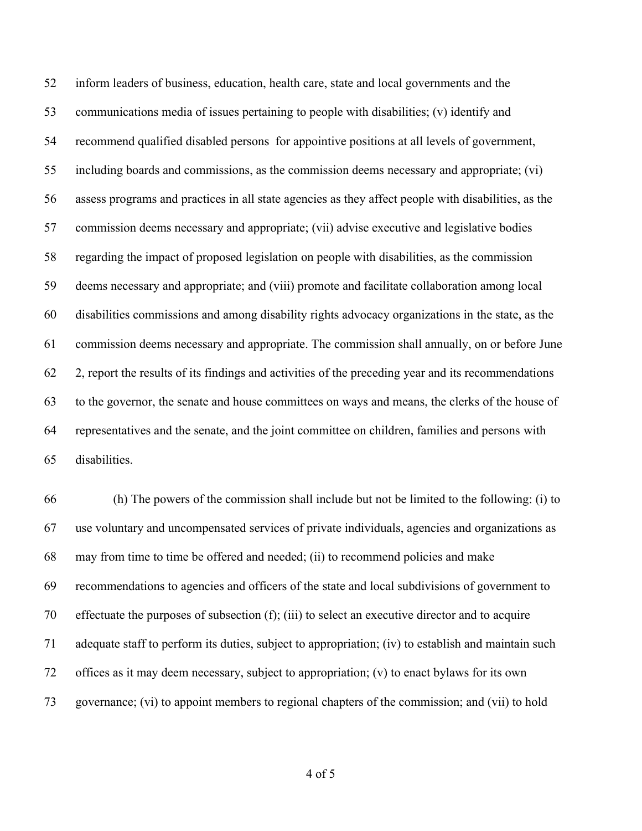inform leaders of business, education, health care, state and local governments and the communications media of issues pertaining to people with disabilities; (v) identify and recommend qualified disabled persons for appointive positions at all levels of government, including boards and commissions, as the commission deems necessary and appropriate; (vi) assess programs and practices in all state agencies as they affect people with disabilities, as the commission deems necessary and appropriate; (vii) advise executive and legislative bodies regarding the impact of proposed legislation on people with disabilities, as the commission deems necessary and appropriate; and (viii) promote and facilitate collaboration among local disabilities commissions and among disability rights advocacy organizations in the state, as the commission deems necessary and appropriate. The commission shall annually, on or before June 2, report the results of its findings and activities of the preceding year and its recommendations to the governor, the senate and house committees on ways and means, the clerks of the house of representatives and the senate, and the joint committee on children, families and persons with disabilities.

 (h) The powers of the commission shall include but not be limited to the following: (i) to use voluntary and uncompensated services of private individuals, agencies and organizations as may from time to time be offered and needed; (ii) to recommend policies and make recommendations to agencies and officers of the state and local subdivisions of government to effectuate the purposes of subsection (f); (iii) to select an executive director and to acquire adequate staff to perform its duties, subject to appropriation; (iv) to establish and maintain such offices as it may deem necessary, subject to appropriation; (v) to enact bylaws for its own governance; (vi) to appoint members to regional chapters of the commission; and (vii) to hold

of 5